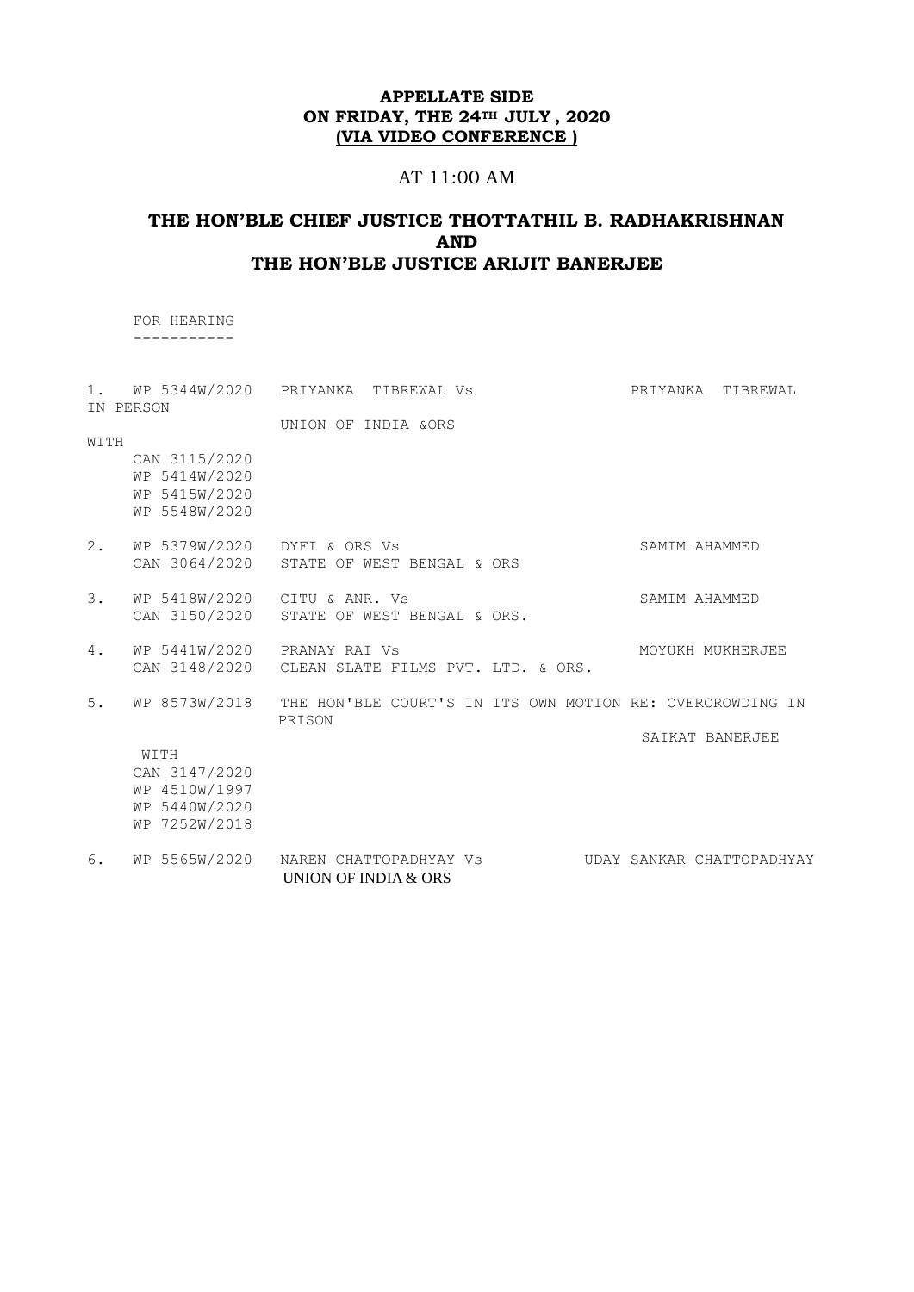# AT 11:00 AM

# **THE HON'BLE CHIEF JUSTICE THOTTATHIL B. RADHAKRISHNAN AND THE HON'BLE JUSTICE ARIJIT BANERJEE**

 FOR HEARING -----------

| 1.   | IN PERSON                                                        | WP 5344W/2020 PRIYANKA TIBREWAL Vs                                              | PRIYANKA<br>TIBREWAL      |
|------|------------------------------------------------------------------|---------------------------------------------------------------------------------|---------------------------|
|      |                                                                  | UNION OF INDIA &ORS                                                             |                           |
| WITH |                                                                  |                                                                                 |                           |
|      | CAN 3115/2020<br>WP 5414W/2020<br>WP 5415W/2020<br>WP 5548W/2020 |                                                                                 |                           |
| 2.   | WP 5379W/2020 DYFI & ORS Vs                                      | CAN 3064/2020 STATE OF WEST BENGAL & ORS                                        | SAMIM AHAMMED             |
| 3.   | CAN 3150/2020                                                    | WP 5418W/2020 CITU & ANR. Vs<br>STATE OF WEST BENGAL & ORS.                     | SAMIM AHAMMED             |
| 4.   |                                                                  | WP 5441W/2020 PRANAY RAI Vs<br>CAN 3148/2020 CLEAN SLATE FILMS PVT. LTD. & ORS. | MOYUKH MUKHERJEE          |
| 5.   | WP 8573W/2018                                                    | THE HON'BLE COURT'S IN ITS OWN MOTION RE: OVERCROWDING IN<br>PRISON             | SAIKAT BANERJEE           |
|      | WITH                                                             |                                                                                 |                           |
|      | CAN 3147/2020                                                    |                                                                                 |                           |
|      | WP 4510W/1997                                                    |                                                                                 |                           |
|      | WP 5440W/2020                                                    |                                                                                 |                           |
|      | WP 7252W/2018                                                    |                                                                                 |                           |
| 6.   | WP 5565W/2020                                                    | NAREN CHATTOPADHYAY VS<br>UNION OF INDIA & ORS                                  | UDAY SANKAR CHATTOPADHYAY |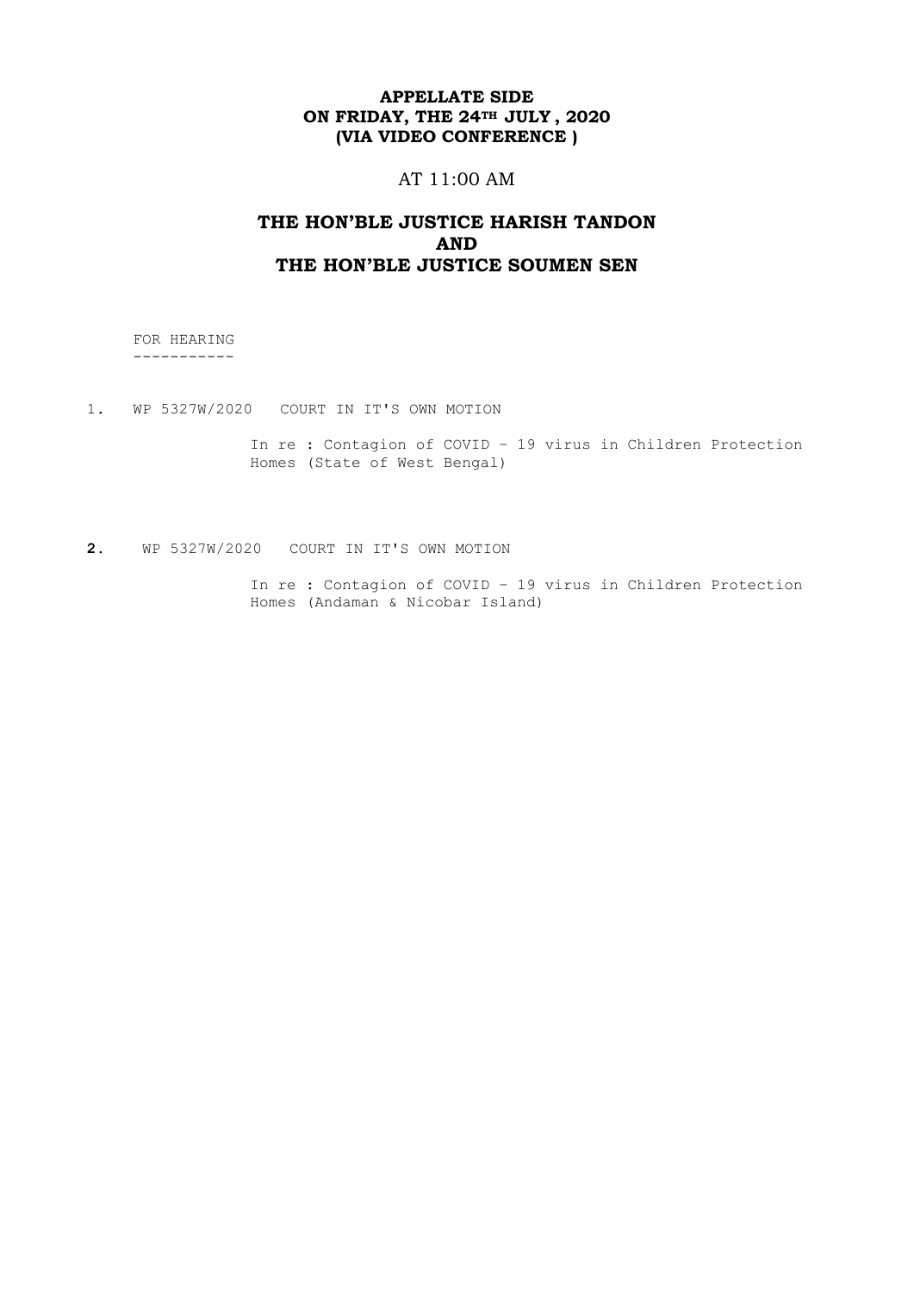# AT 11:00 AM

# **THE HON'BLE JUSTICE HARISH TANDON AND THE HON'BLE JUSTICE SOUMEN SEN**

 FOR HEARING -----------

1. WP 5327W/2020 COURT IN IT'S OWN MOTION

In re : Contagion of COVID – 19 virus in Children Protection Homes (State of West Bengal)

**2.** WP 5327W/2020 COURT IN IT'S OWN MOTION

In re : Contagion of COVID – 19 virus in Children Protection Homes (Andaman & Nicobar Island)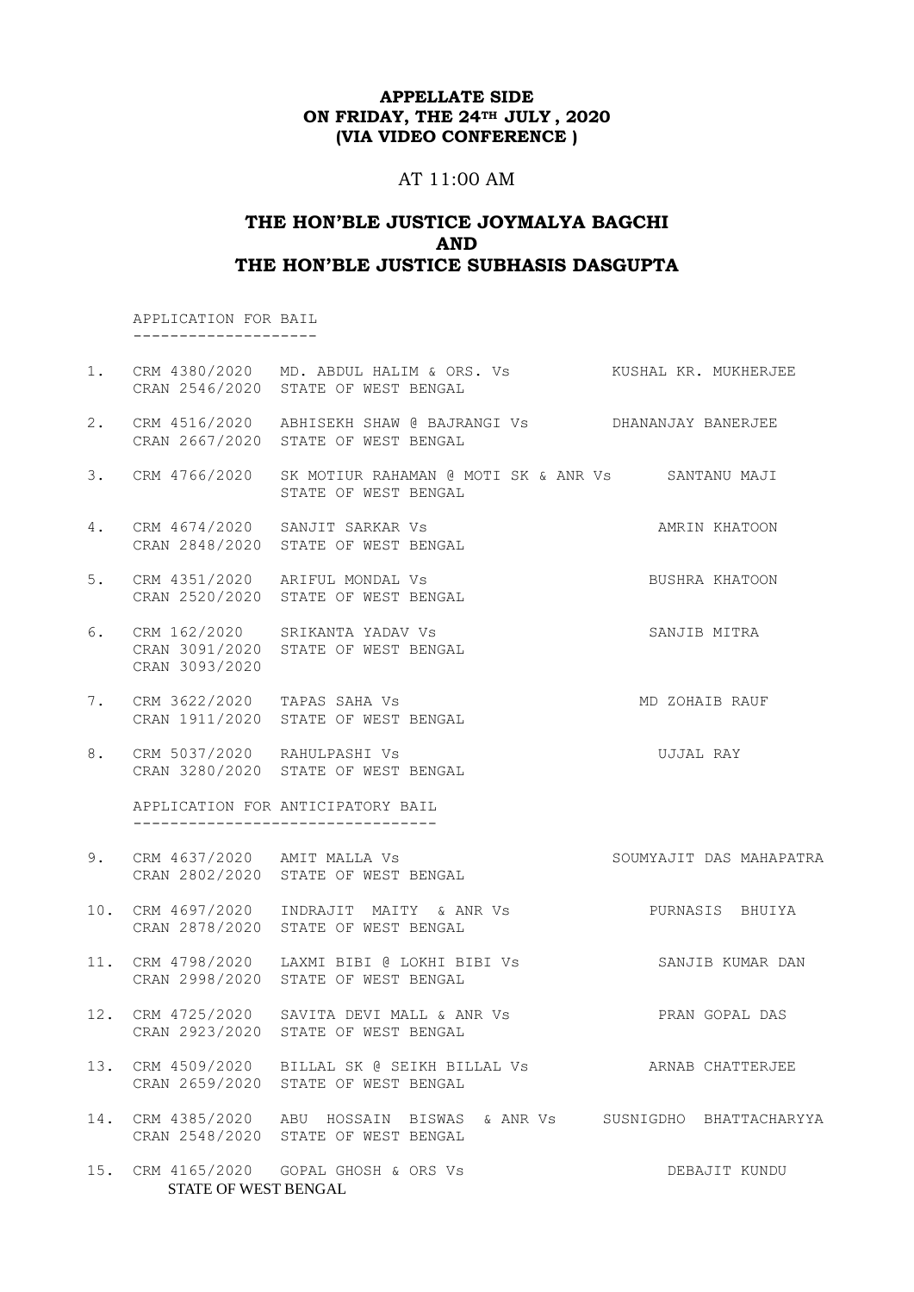# AT 11:00 AM

# **THE HON'BLE JUSTICE JOYMALYA BAGCHI AND THE HON'BLE JUSTICE SUBHASIS DASGUPTA**

 APPLICATION FOR BAIL --------------------

|    |                      | 1. CRM 4380/2020 MD. ABDUL HALIM & ORS. Vs KUSHAL KR. MUKHERJEE<br>CRAN 2546/2020 STATE OF WEST BENGAL       |                         |
|----|----------------------|--------------------------------------------------------------------------------------------------------------|-------------------------|
| 2. |                      | CRM 4516/2020 ABHISEKH SHAW @ BAJRANGI Vs DHANANJAY BANERJEE<br>CRAN 2667/2020 STATE OF WEST BENGAL          |                         |
| 3. | CRM 4766/2020        | SK MOTIUR RAHAMAN @ MOTI SK & ANR Vs SANTANU MAJI<br>STATE OF WEST BENGAL                                    |                         |
| 4. |                      | CRM 4674/2020 SANJIT SARKAR Vs<br>CRAN 2848/2020 STATE OF WEST BENGAL                                        | AMRIN KHATOON           |
| 5. |                      | CRM 4351/2020 ARIFUL MONDAL Vs<br>CRAN 2520/2020 STATE OF WEST BENGAL                                        | BUSHRA KHATOON          |
| 6. | CRAN 3093/2020       | CRM 162/2020 SRIKANTA YADAV Vs<br>CRAN 3091/2020 STATE OF WEST BENGAL                                        | SANJIB MITRA            |
| 7. |                      | CRM 3622/2020 TAPAS SAHA Vs<br>CRAN 1911/2020 STATE OF WEST BENGAL                                           | MD ZOHAIB RAUF          |
| 8. |                      | CRM 5037/2020 RAHULPASHI Vs<br>CRAN 3280/2020 STATE OF WEST BENGAL                                           | UJJAL RAY               |
|    |                      | APPLICATION FOR ANTICIPATORY BAIL<br>___________________________________                                     |                         |
| 9. |                      | CRM 4637/2020 AMIT MALLA Vs<br>CRAN 2802/2020 STATE OF WEST BENGAL                                           | SOUMYAJIT DAS MAHAPATRA |
|    |                      | 10. CRM 4697/2020 INDRAJIT MAITY & ANR Vs PURNASIS BHUIYA<br>CRAN 2878/2020 STATE OF WEST BENGAL             |                         |
|    |                      | 11. CRM 4798/2020 LAXMI BIBI @ LOKHI BIBI Vs SANJIB KUMAR DAN<br>CRAN 2998/2020 STATE OF WEST BENGAL         |                         |
|    |                      | 12. CRM 4725/2020 SAVITA DEVI MALL & ANR Vs SAVITA PRAN GOPAL DAS<br>CRAN 2923/2020 STATE OF WEST BENGAL     |                         |
|    |                      | 13. CRM 4509/2020 BILLAL SK @ SEIKH BILLAL Vs<br>CRAN 2659/2020 STATE OF WEST BENGAL                         | ARNAB CHATTERJEE        |
|    |                      | 14. CRM 4385/2020 ABU HOSSAIN BISWAS & ANR Vs SUSNIGDHO BHATTACHARYYA<br>CRAN 2548/2020 STATE OF WEST BENGAL |                         |
|    | STATE OF WEST BENGAL | 15. CRM 4165/2020  GOPAL GHOSH & ORS Vs                                                                      | DEBAJIT KUNDU           |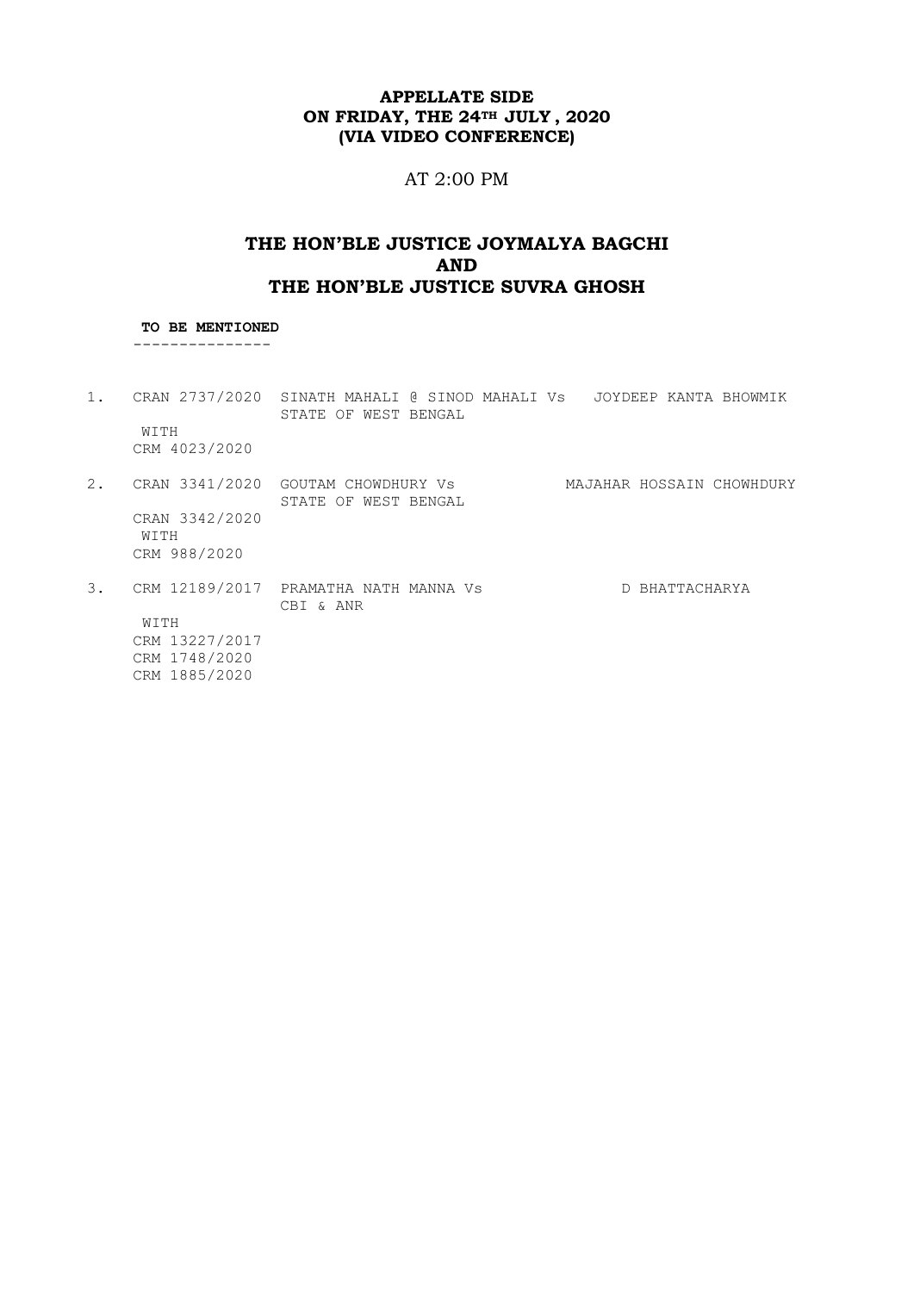# AT 2:00 PM

# **THE HON'BLE JUSTICE JOYMALYA BAGCHI AND THE HON'BLE JUSTICE SUVRA GHOSH**

#### **TO BE MENTIONED** ---------------

- 1. CRAN 2737/2020 SINATH MAHALI @ SINOD MAHALI Vs JOYDEEP KANTA BHOWMIK STATE OF WEST BENGAL WITH CRM 4023/2020 2. CRAN 3341/2020 GOUTAM CHOWDHURY Vs MAJAHAR HOSSAIN CHOWHDURY STATE OF WEST BENGAL CRAN 3342/2020 WITH CRM 988/2020 3. CRM 12189/2017 PRAMATHA NATH MANNA Vs D BHATTACHARYA
- CBI & ANR WITH CRM 13227/2017 CRM 1748/2020 CRM 1885/2020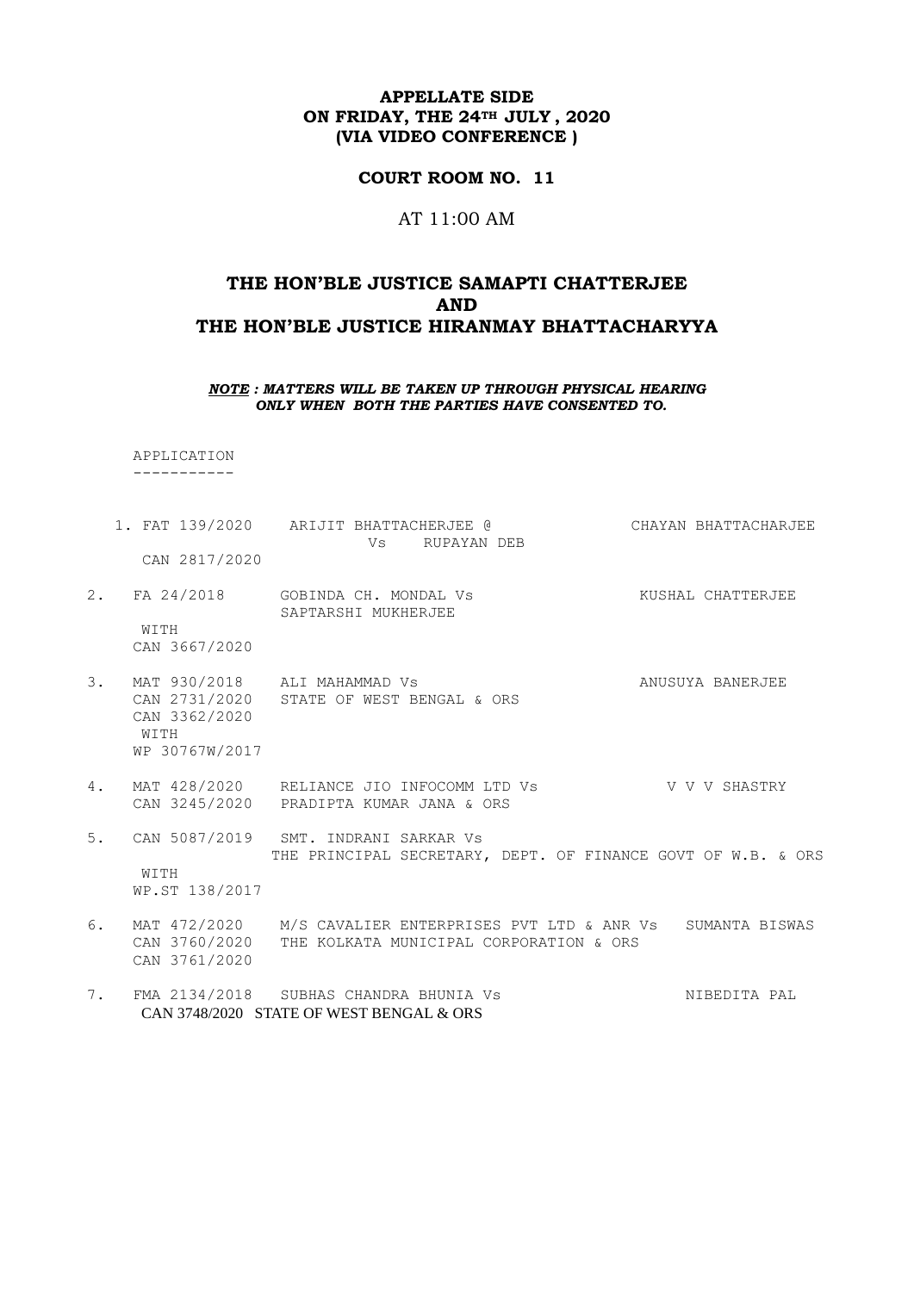#### **COURT ROOM NO. 11**

#### AT 11:00 AM

# **THE HON'BLE JUSTICE SAMAPTI CHATTERJEE AND THE HON'BLE JUSTICE HIRANMAY BHATTACHARYYA**

#### *NOTE : MATTERS WILL BE TAKEN UP THROUGH PHYSICAL HEARING ONLY WHEN BOTH THE PARTIES HAVE CONSENTED TO.*

 APPLICATION -----------

- 1. FAT 139/2020 ARIJIT BHATTACHERJEE @ CHAYAN BHATTACHARJEE Vs RUPAYAN DEB CAN 2817/2020 2. FA 24/2018 GOBINDA CH. MONDAL Vs KUSHAL CHATTERJEE SAPTARSHI MUKHERJEE WITH CAN 3667/2020 3. MAT 930/2018 ALI MAHAMMAD Vs ANUSUYA BANERJEE CAN 2731/2020 STATE OF WEST BENGAL & ORS CAN 3362/2020 WITH WP 30767W/2017
- 4. MAT 428/2020 RELIANCE JIO INFOCOMM LTD Vs V V V V SHASTRY CAN 3245/2020 PRADIPTA KUMAR JANA & ORS
- 5. CAN 5087/2019 SMT. INDRANI SARKAR Vs THE PRINCIPAL SECRETARY, DEPT. OF FINANCE GOVT OF W.B. & ORS WITH WP.ST 138/2017
- 6. MAT 472/2020 M/S CAVALIER ENTERPRISES PVT LTD & ANR Vs SUMANTA BISWAS CAN 3760/2020 THE KOLKATA MUNICIPAL CORPORATION & ORS CAN 3761/2020
- 7. FMA 2134/2018 SUBHAS CHANDRA BHUNIA Vs NIBEDITA PAL CAN 3748/2020 STATE OF WEST BENGAL & ORS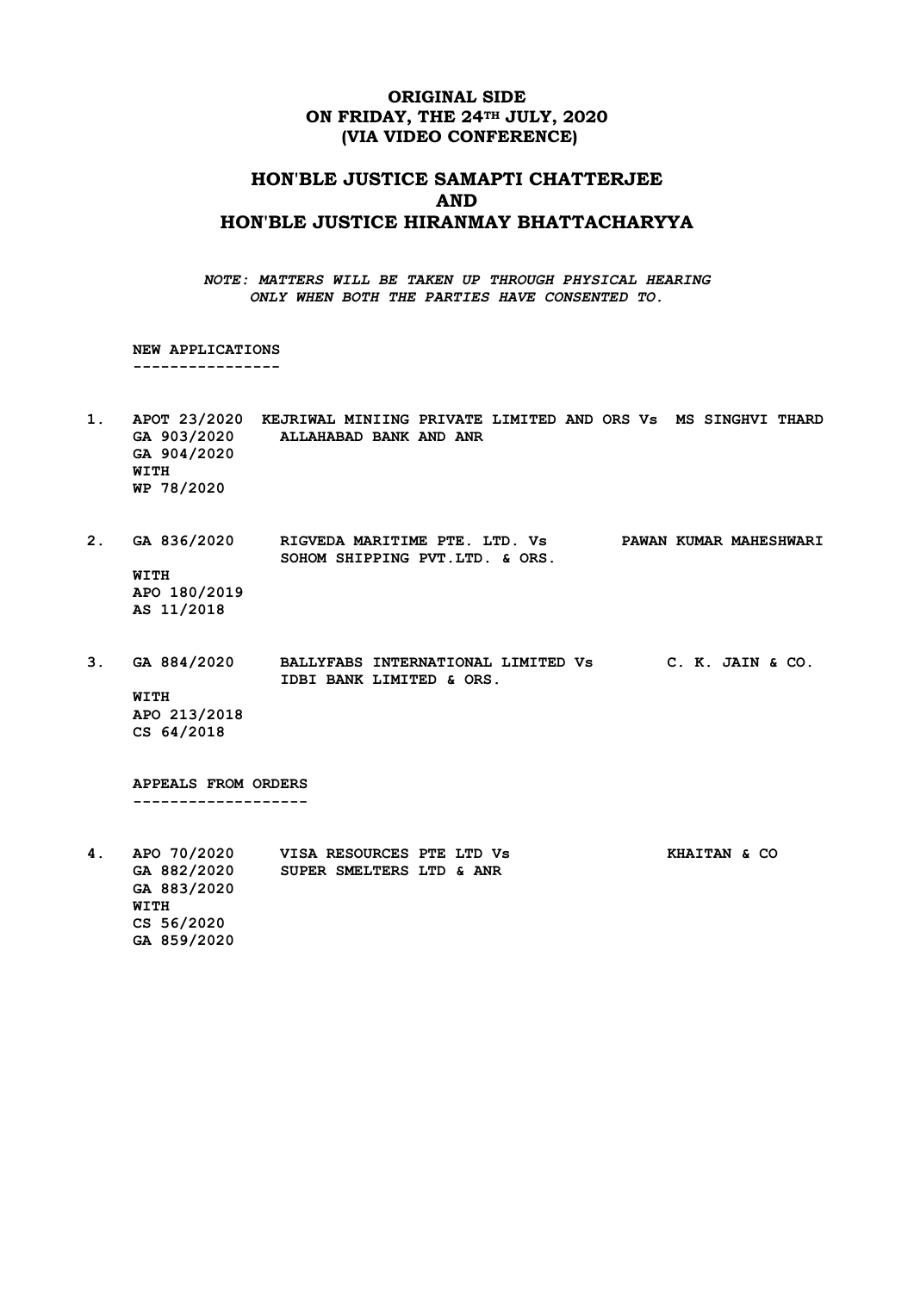### **ORIGINAL SIDE ON FRIDAY, THE 24TH JULY, 2020 (VIA VIDEO CONFERENCE)**

# **HON'BLE JUSTICE SAMAPTI CHATTERJEE AND HON'BLE JUSTICE HIRANMAY BHATTACHARYYA**

*NOTE: MATTERS WILL BE TAKEN UP THROUGH PHYSICAL HEARING ONLY WHEN BOTH THE PARTIES HAVE CONSENTED TO.*

 **NEW APPLICATIONS ----------------**

- **1. APOT 23/2020 KEJRIWAL MINIING PRIVATE LIMITED AND ORS Vs MS SINGHVI THARD GA 903/2020 ALLAHABAD BANK AND ANR GA 904/2020 WITH WP 78/2020**
- **2. GA 836/2020 RIGVEDA MARITIME PTE. LTD. Vs PAWAN KUMAR MAHESHWARI SOHOM SHIPPING PVT.LTD. & ORS. WITH APO 180/2019 AS 11/2018**
- **3. GA 884/2020 BALLYFABS INTERNATIONAL LIMITED Vs C. K. JAIN & CO. IDBI BANK LIMITED & ORS. WITH APO 213/2018 CS 64/2018**

 **APPEALS FROM ORDERS -------------------**

**4. APO 70/2020 VISA RESOURCES PTE LTD Vs KHAITAN & CO GA 882/2020 SUPER SMELTERS LTD & ANR GA 883/2020 WITH CS 56/2020 GA 859/2020**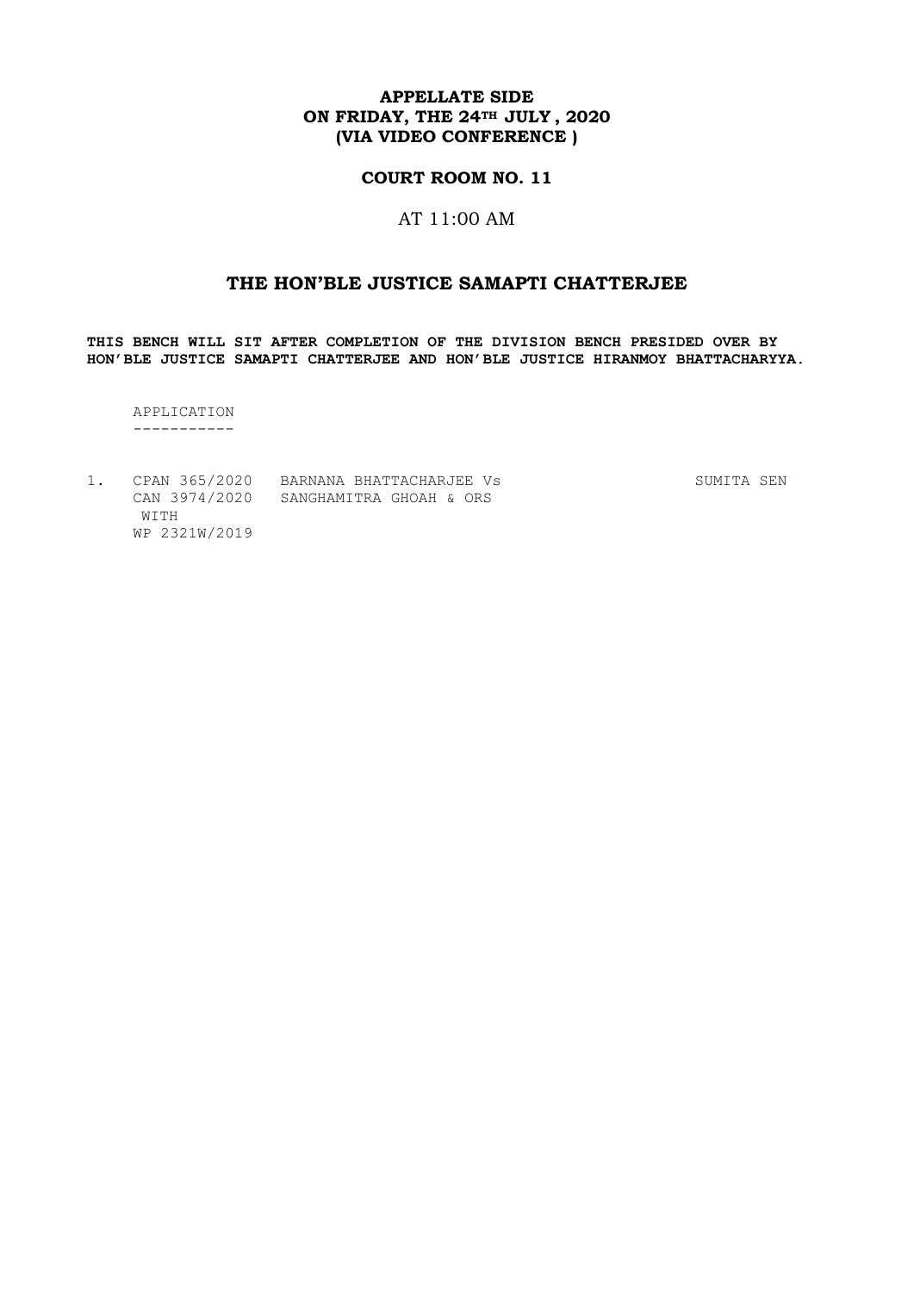### **COURT ROOM NO. 11**

# AT 11:00 AM

# **THE HON'BLE JUSTICE SAMAPTI CHATTERJEE**

**THIS BENCH WILL SIT AFTER COMPLETION OF THE DIVISION BENCH PRESIDED OVER BY HON'BLE JUSTICE SAMAPTI CHATTERJEE AND HON'BLE JUSTICE HIRANMOY BHATTACHARYYA.**

 APPLICATION -----------

|               | CPAN 365/2020 BARNANA BHATTACHARJEE VS | SUMITA SEN |  |
|---------------|----------------------------------------|------------|--|
|               | CAN 3974/2020 SANGHAMITRA GHOAH & ORS  |            |  |
| WITH          |                                        |            |  |
| WP 2321W/2019 |                                        |            |  |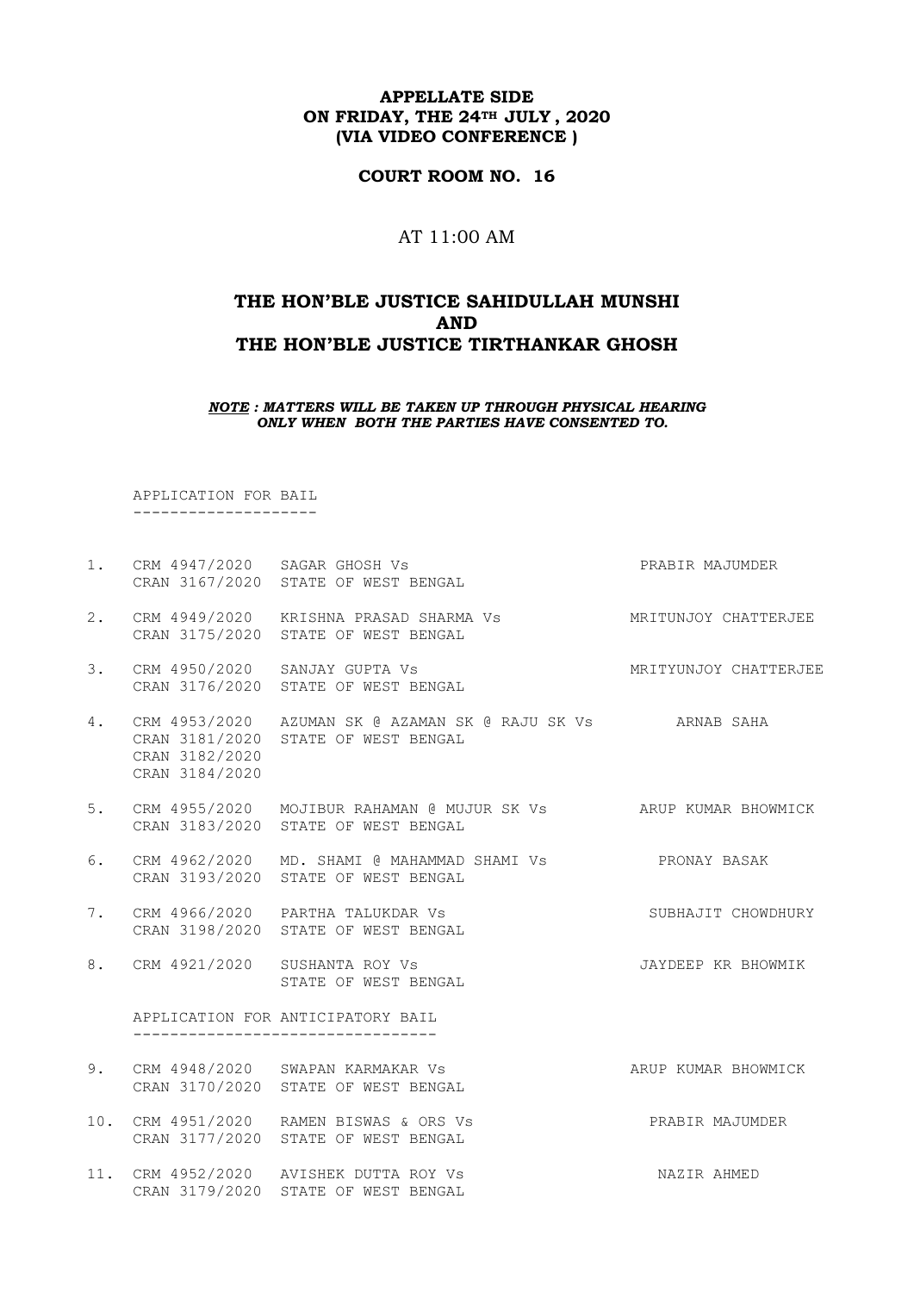**COURT ROOM NO. 16**

### AT 11:00 AM

# **THE HON'BLE JUSTICE SAHIDULLAH MUNSHI AND THE HON'BLE JUSTICE TIRTHANKAR GHOSH**

*NOTE : MATTERS WILL BE TAKEN UP THROUGH PHYSICAL HEARING ONLY WHEN BOTH THE PARTIES HAVE CONSENTED TO.*

 APPLICATION FOR BAIL --------------------

|    |                                  | 1. CRM 4947/2020 SAGAR GHOSH Vs<br>CRAN 3167/2020 STATE OF WEST BENGAL                                          | PRABIR MAJUMDER    |
|----|----------------------------------|-----------------------------------------------------------------------------------------------------------------|--------------------|
| 2. |                                  | CRM 4949/2020 KRISHNA PRASAD SHARMA Vs MRITUNJOY CHATTERJEE<br>CRAN 3175/2020 STATE OF WEST BENGAL              |                    |
| 3. |                                  | CRM 4950/2020 SANJAY GUPTA VS NATURAL METTYUNJOY CHATTERJEE<br>CRAN 3176/2020 STATE OF WEST BENGAL              |                    |
| 4. | CRAN 3182/2020<br>CRAN 3184/2020 | CRM 4953/2020 AZUMAN SK @ AZAMAN SK @ RAJU SK Vs ARNAB SAHA<br>CRAN 3181/2020 STATE OF WEST BENGAL              |                    |
|    |                                  | 5. CRM 4955/2020 MOJIBUR RAHAMAN @ MUJUR SK Vs ARUP KUMAR BHOWMICK<br>CRAN 3183/2020 STATE OF WEST BENGAL       |                    |
| 6. |                                  | CRM 4962/2020 MD. SHAMI @ MAHAMMAD SHAMI Vs                 PRONAY BASAK<br>CRAN 3193/2020 STATE OF WEST BENGAL |                    |
| 7. |                                  | CRM 4966/2020 PARTHA TALUKDAR Vs<br>CRAN 3198/2020 STATE OF WEST BENGAL<br>CRAN 3198/2020 STATE OF WEST BENGAL  | SUBHAJIT CHOWDHURY |
|    |                                  | 8. CRM 4921/2020 SUSHANTA ROY Vs<br>STATE OF WEST BENGAL                                                        | JAYDEEP KR BHOWMIK |
|    |                                  | APPLICATION FOR ANTICIPATORY BAIL<br>___________________________________                                        |                    |
| 9. |                                  | CRM 4948/2020 SWAPAN KARMAKAR VS SAND ARUP KUMAR BHOWMICK<br>CRAN 3170/2020 STATE OF WEST BENGAL                |                    |
|    |                                  | 10. CRM 4951/2020 RAMEN BISWAS & ORS Vs<br>CRAN 3177/2020 STATE OF WEST BENGAL                                  | PRABIR MAJUMDER    |
|    |                                  | 11. CRM 4952/2020 AVISHEK DUTTA ROY Vs<br>CRAN 3179/2020 STATE OF WEST BENGAL                                   | NAZIR AHMED        |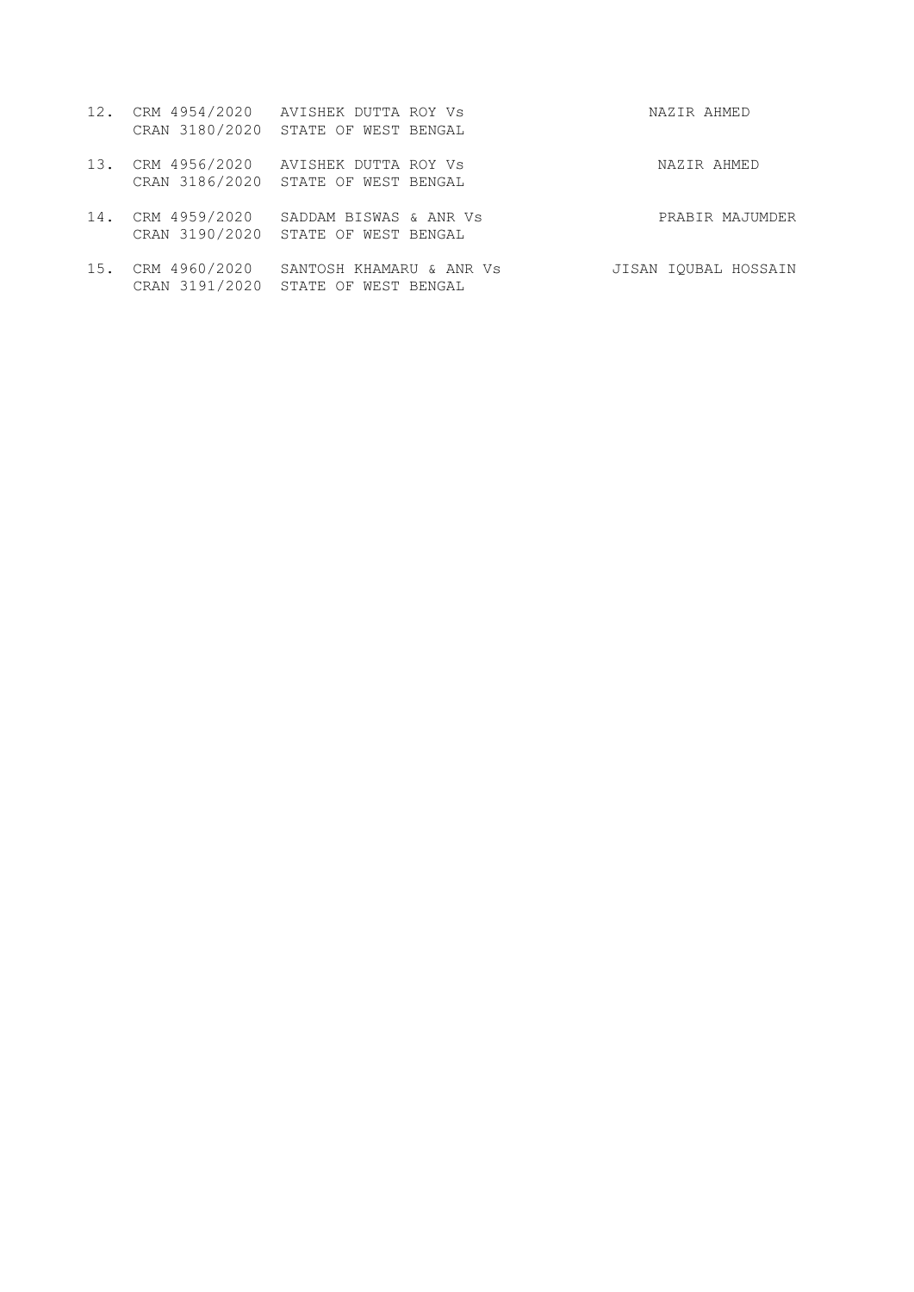|  | 12. CRM 4954/2020 AVISHEK DUTTA ROY Vs | NAZIR AHMED |
|--|----------------------------------------|-------------|
|  | CRAN 3180/2020 STATE OF WEST BENGAL    |             |

- 13. CRM 4956/2020 AVISHEK DUTTA ROY Vs NAZIR AHMED CRAN 3186/2020 STATE OF WEST BENGAL
- 14. CRM 4959/2020 SADDAM BISWAS & ANR Vs PRABIR MAJUMDER CRAN 3190/2020 STATE OF WEST BENGAL
- 15. CRM 4960/2020 SANTOSH KHAMARU & ANR Vs JISAN IQUBAL HOSSAIN CRAN 3191/2020 STATE OF WEST BENGAL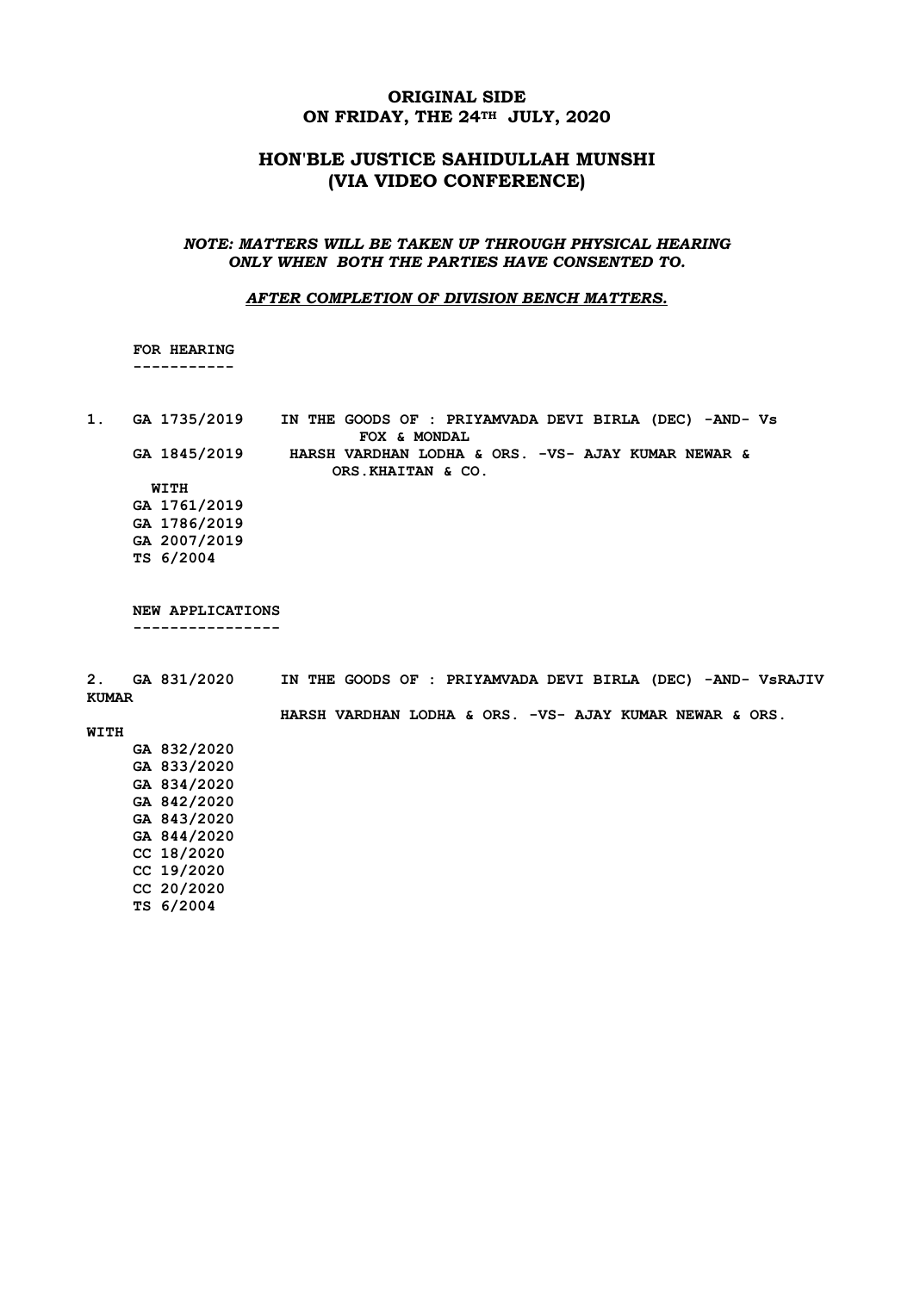## **ORIGINAL SIDE ON FRIDAY, THE 24TH JULY, 2020**

# **HON'BLE JUSTICE SAHIDULLAH MUNSHI (VIA VIDEO CONFERENCE)**

#### *NOTE: MATTERS WILL BE TAKEN UP THROUGH PHYSICAL HEARING ONLY WHEN BOTH THE PARTIES HAVE CONSENTED TO.*

#### *AFTER COMPLETION OF DIVISION BENCH MATTERS.*

 **FOR HEARING -----------**

**1. GA 1735/2019 IN THE GOODS OF : PRIYAMVADA DEVI BIRLA (DEC) -AND- Vs FOX & MONDAL GA 1845/2019 HARSH VARDHAN LODHA & ORS. -VS- AJAY KUMAR NEWAR & ORS.KHAITAN & CO. WITH GA 1761/2019 GA 1786/2019 GA 2007/2019 TS 6/2004**

 **NEW APPLICATIONS ----------------**

**2. GA 831/2020 IN THE GOODS OF : PRIYAMVADA DEVI BIRLA (DEC) -AND- VsRAJIV KUMAR HARSH VARDHAN LODHA & ORS. -VS- AJAY KUMAR NEWAR & ORS. WITH GA 832/2020 GA 833/2020 GA 834/2020 GA 842/2020 GA 843/2020 GA 844/2020**

 **CC 18/2020 CC 19/2020 CC 20/2020**

 **TS 6/2004**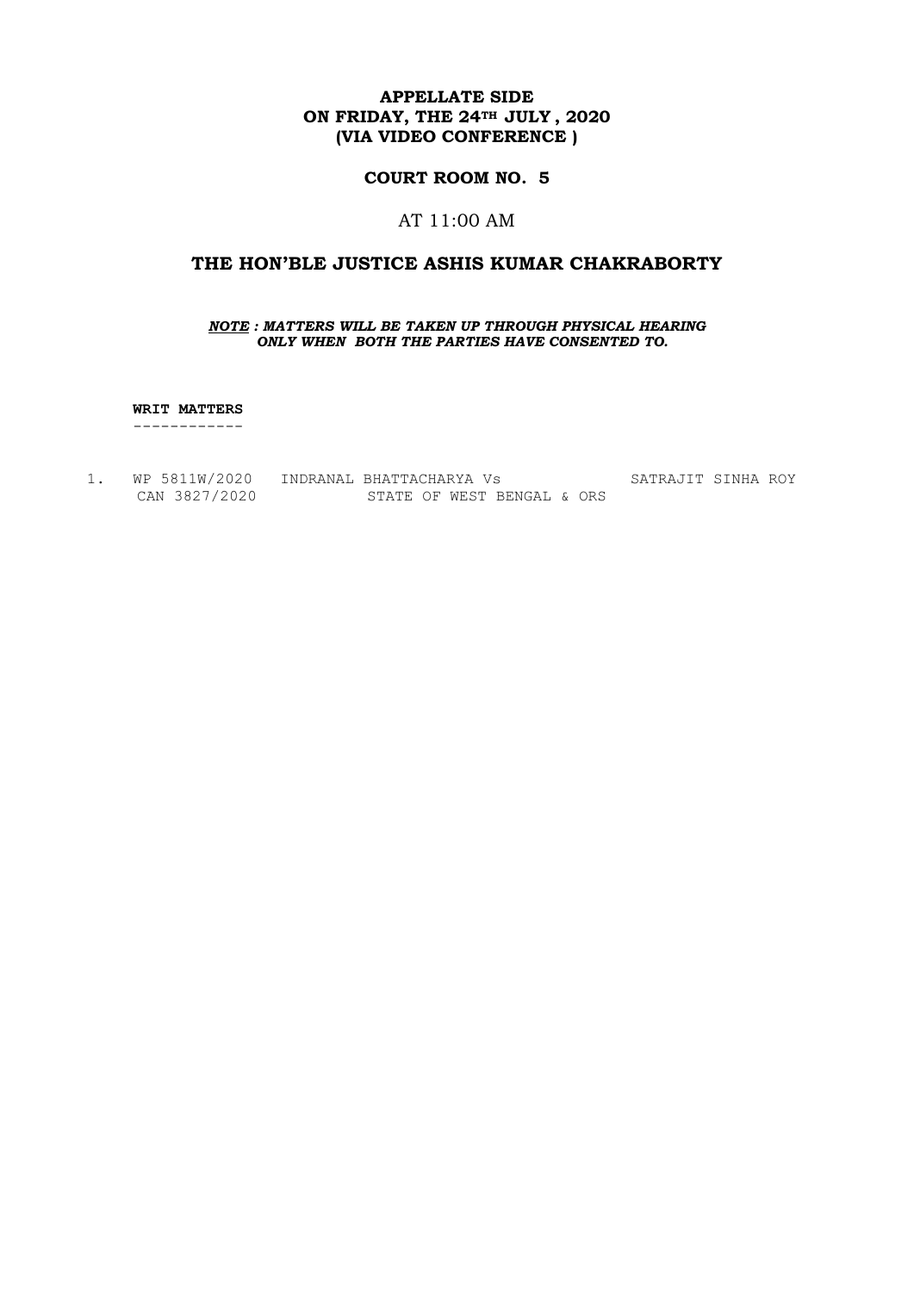### **COURT ROOM NO. 5**

## AT 11:00 AM

## **THE HON'BLE JUSTICE ASHIS KUMAR CHAKRABORTY**

#### *NOTE : MATTERS WILL BE TAKEN UP THROUGH PHYSICAL HEARING ONLY WHEN BOTH THE PARTIES HAVE CONSENTED TO.*

 **WRIT MATTERS**

------------

1. WP 5811W/2020 INDRANAL BHATTACHARYA Vs SATRAJIT SINHA ROY CAN 3827/2020 STATE OF WEST BENGAL & ORS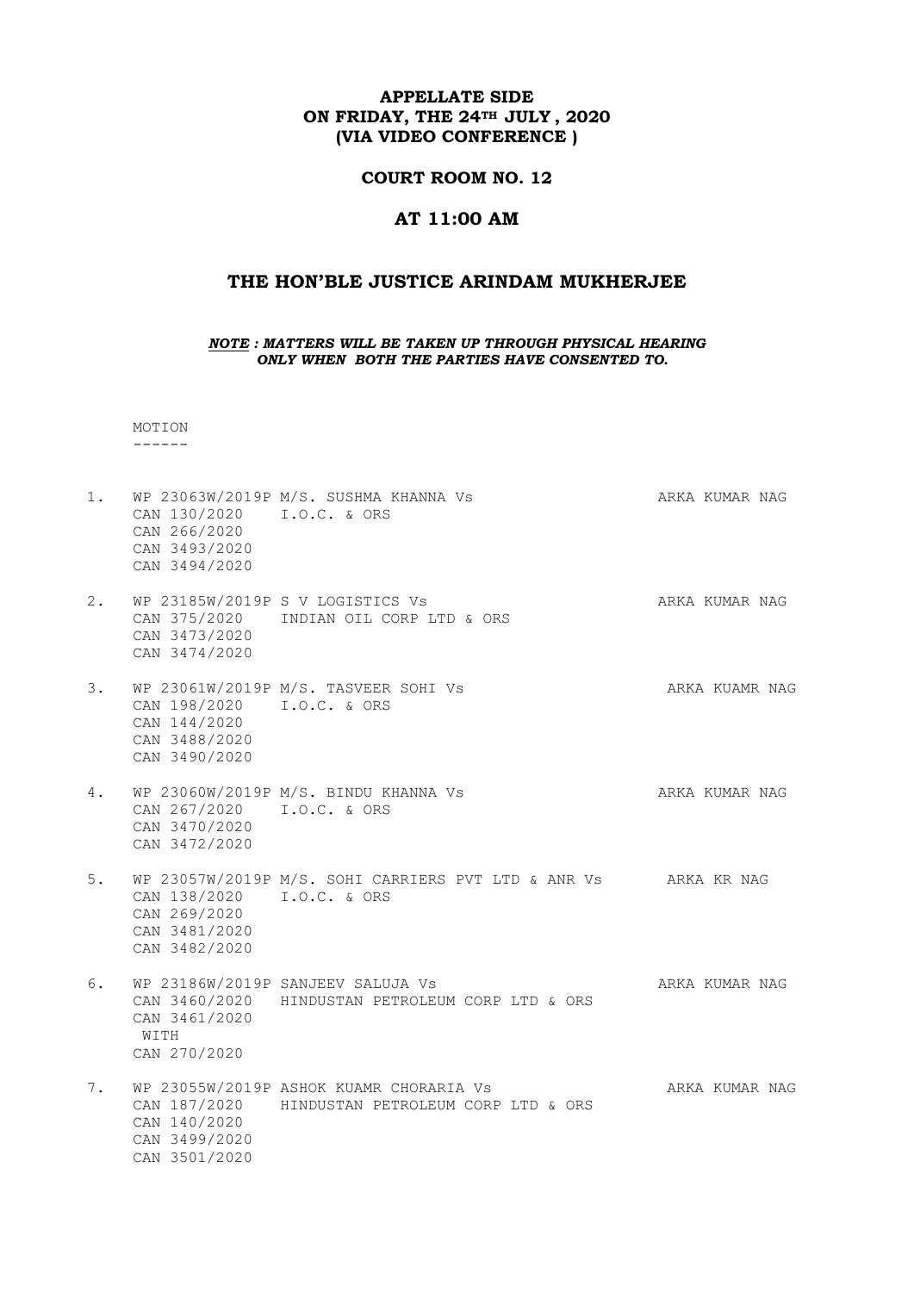### **COURT ROOM NO. 12**

#### **AT 11:00 AM**

### **THE HON'BLE JUSTICE ARINDAM MUKHERJEE**

*NOTE : MATTERS WILL BE TAKEN UP THROUGH PHYSICAL HEARING ONLY WHEN BOTH THE PARTIES HAVE CONSENTED TO.*

 MOTION ------

- 1. WP 23063W/2019P M/S. SUSHMA KHANNA Vs ARKA KUMAR NAG CAN 130/2020 I.O.C. & ORS CAN 266/2020 CAN 3493/2020 CAN 3494/2020 2. WP 23185W/2019P S V LOGISTICS Vs ARKA KUMAR NAG
- CAN 375/2020 INDIAN OIL CORP LTD & ORS CAN 3473/2020 CAN 3474/2020
- 3. WP 23061W/2019P M/S. TASVEER SOHI Vs ARKA KUAMR NAG CAN 198/2020 I.O.C. & ORS CAN 144/2020 CAN 3488/2020 CAN 3490/2020
- 4. WP 23060W/2019P M/S. BINDU KHANNA Vs ARKA KUMAR NAG CAN 267/2020 I.O.C. & ORS CAN 3470/2020 CAN 3472/2020

5. WP 23057W/2019P M/S. SOHI CARRIERS PVT LTD & ANR Vs ARKA KR NAG CAN 138/2020 I.O.C. & ORS CAN 269/2020 CAN 3481/2020 CAN 3482/2020

6. WP 23186W/2019P SANJEEV SALUJA Vs AND ARKA KUMAR NAG CAN 3460/2020 HINDUSTAN PETROLEUM CORP LTD & ORS CAN 3461/2020 WITH CAN 270/2020

7. WP 23055W/2019P ASHOK KUAMR CHORARIA Vs ARKA KUMAR NAG CAN 187/2020 HINDUSTAN PETROLEUM CORP LTD & ORS CAN 140/2020 CAN 3499/2020 CAN 3501/2020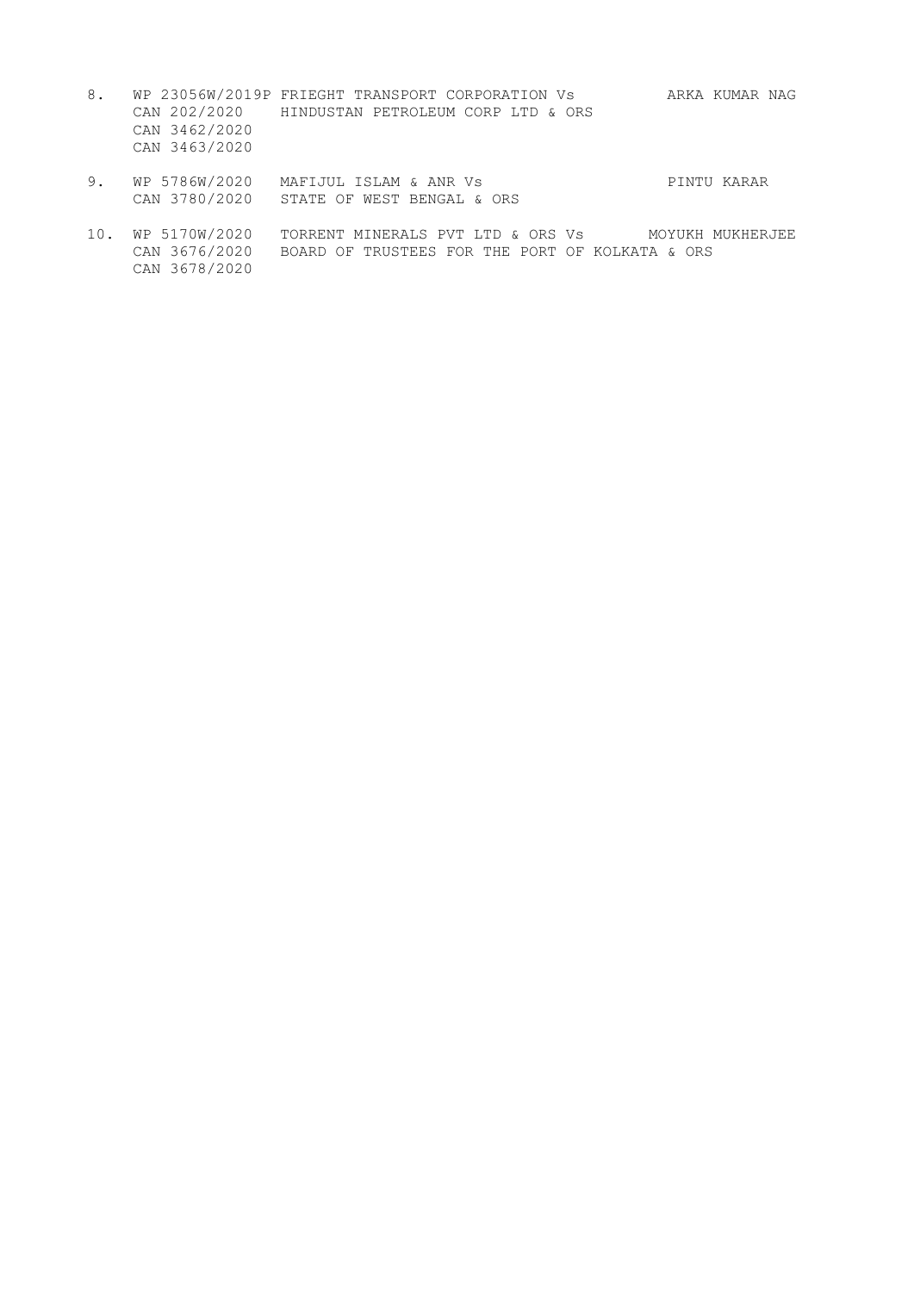- 8. WP 23056W/2019P FRIEGHT TRANSPORT CORPORATION Vs ARKA KUMAR NAG CAN 202/2020 HINDUSTAN PETROLEUM CORP LTD & ORS CAN 3462/2020 CAN 3463/2020
- 9. WP 5786W/2020 MAFIJUL ISLAM & ANR Vs PINTU KARAR CAN 3780/2020 STATE OF WEST BENGAL & ORS
- 10. WP 5170W/2020 TORRENT MINERALS PVT LTD & ORS Vs MOYUKH MUKHERJEE CAN 3676/2020 BOARD OF TRUSTEES FOR THE PORT OF KOLKATA & ORS CAN 3678/2020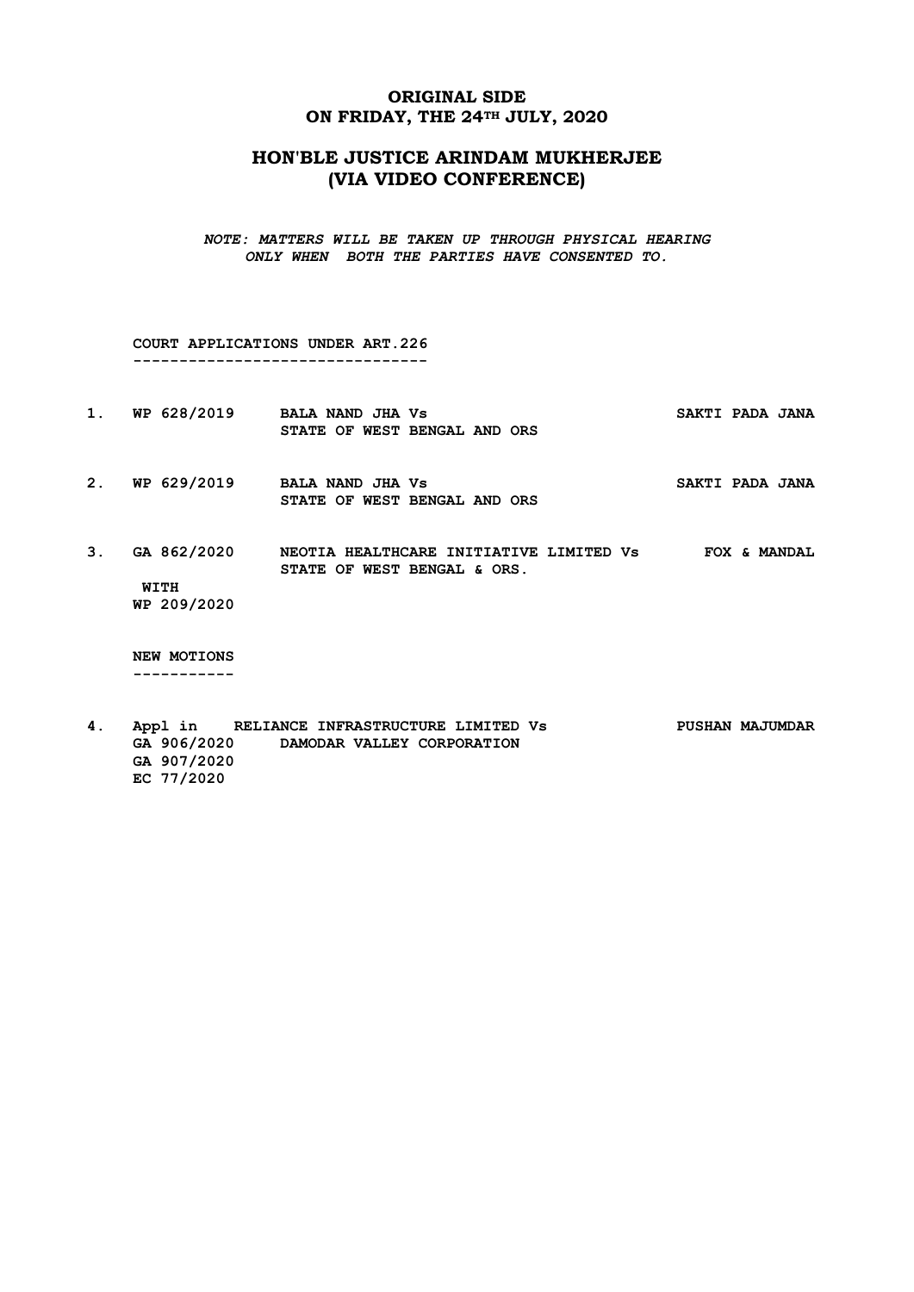## **ORIGINAL SIDE ON FRIDAY, THE 24TH JULY, 2020**

# **HON'BLE JUSTICE ARINDAM MUKHERJEE (VIA VIDEO CONFERENCE)**

*NOTE: MATTERS WILL BE TAKEN UP THROUGH PHYSICAL HEARING ONLY WHEN BOTH THE PARTIES HAVE CONSENTED TO.*

 **COURT APPLICATIONS UNDER ART.226 --------------------------------**

- 1. WP 628/2019 BALA NAND JHA Vs SAKTI PADA JANA  **STATE OF WEST BENGAL AND ORS**
- 2. WP 629/2019 BALA NAND JHA Vs **SAKTI PADA JANA STATE OF WEST BENGAL AND ORS**
- **3. GA 862/2020 NEOTIA HEALTHCARE INITIATIVE LIMITED Vs FOX & MANDAL STATE OF WEST BENGAL & ORS. WITH**

 **WP 209/2020**

 **NEW MOTIONS -----------**

**4. Appl in RELIANCE INFRASTRUCTURE LIMITED Vs PUSHAN MAJUMDAR GA 906/2020 DAMODAR VALLEY CORPORATION GA 907/2020 EC 77/2020**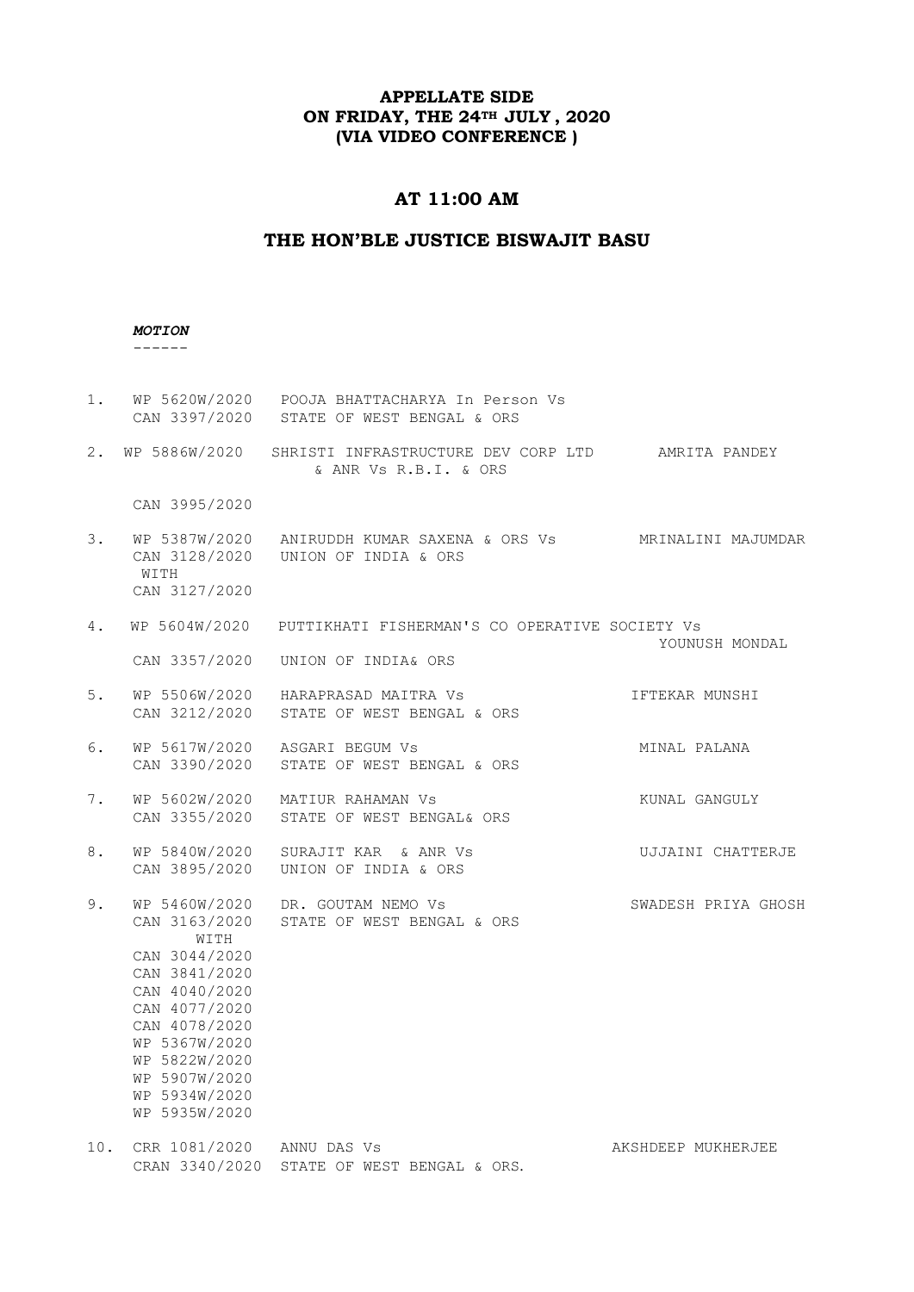# **AT 11:00 AM**

## **THE HON'BLE JUSTICE BISWAJIT BASU**

### *MOTION*

------

| 1.  |                                                                                                                                                                                                 | WP 5620W/2020  POOJA BHATTACHARYA In Person Vs<br>CAN 3397/2020 STATE OF WEST BENGAL & ORS               |                     |
|-----|-------------------------------------------------------------------------------------------------------------------------------------------------------------------------------------------------|----------------------------------------------------------------------------------------------------------|---------------------|
|     |                                                                                                                                                                                                 | 2. WP 5886W/2020 SHRISTI INFRASTRUCTURE DEV CORP LTD AMRITA PANDEY<br>& ANR Vs R.B.I. & ORS              |                     |
|     | CAN 3995/2020                                                                                                                                                                                   |                                                                                                          |                     |
| 3.  | WITH<br>CAN 3127/2020                                                                                                                                                                           | WP 5387W/2020 ANIRUDDH KUMAR SAXENA & ORS Vs MRINALINI MAJUMDAR<br>CAN 3128/2020    UNION OF INDIA & ORS |                     |
| 4.  |                                                                                                                                                                                                 | WP 5604W/2020 PUTTIKHATI FISHERMAN'S CO OPERATIVE SOCIETY Vs                                             | YOUNUSH MONDAL      |
|     | CAN 3357/2020                                                                                                                                                                                   | UNION OF INDIA& ORS                                                                                      |                     |
| 5.  |                                                                                                                                                                                                 | WP 5506W/2020 HARAPRASAD MAITRA Vs<br>CAN 3212/2020 STATE OF WEST BENGAL & ORS                           | IFTEKAR MUNSHI      |
| 6.  |                                                                                                                                                                                                 | WP 5617W/2020 ASGARI BEGUM Vs<br>CAN 3390/2020 STATE OF WEST BENGAL & ORS                                | MINAL PALANA        |
| 7.  |                                                                                                                                                                                                 | WP 5602W/2020 MATIUR RAHAMAN Vs<br>CAN 3355/2020 STATE OF WEST BENGAL& ORS                               | KUNAL GANGULY       |
| 8.  | WP 5840W/2020<br>CAN 3895/2020                                                                                                                                                                  | SURAJIT KAR & ANR Vs<br>UNION OF INDIA & ORS                                                             | UJJAINI CHATTERJE   |
| 9.  | WP 5460W/2020<br>WITH<br>CAN 3044/2020<br>CAN 3841/2020<br>CAN 4040/2020<br>CAN 4077/2020<br>CAN 4078/2020<br>WP 5367W/2020<br>WP 5822W/2020<br>WP 5907W/2020<br>WP 5934W/2020<br>WP 5935W/2020 | DR. GOUTAM NEMO Vs<br>CAN 3163/2020 STATE OF WEST BENGAL & ORS                                           | SWADESH PRIYA GHOSH |
| 10. | CRR 1081/2020 ANNU DAS Vs                                                                                                                                                                       | CRAN 3340/2020 STATE OF WEST BENGAL & ORS.                                                               | AKSHDEEP MUKHERJEE  |